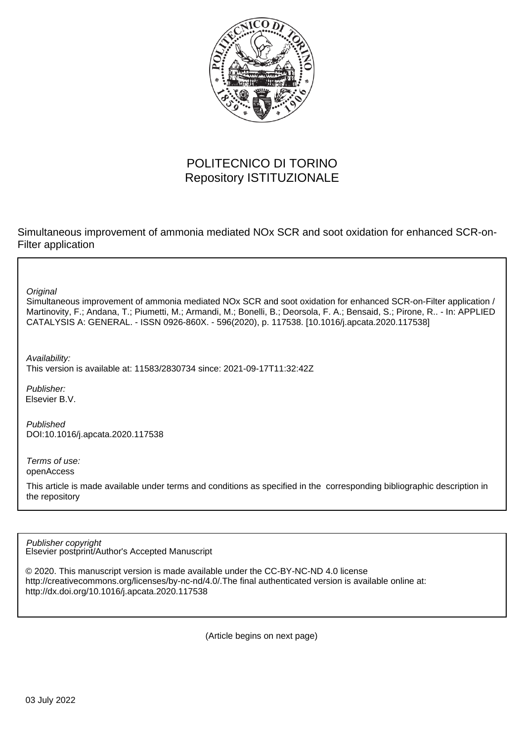

# POLITECNICO DI TORINO Repository ISTITUZIONALE

Simultaneous improvement of ammonia mediated NOx SCR and soot oxidation for enhanced SCR-on-Filter application

**Original** 

Simultaneous improvement of ammonia mediated NOx SCR and soot oxidation for enhanced SCR-on-Filter application / Martinovity, F.; Andana, T.; Piumetti, M.; Armandi, M.; Bonelli, B.; Deorsola, F. A.; Bensaid, S.; Pirone, R.. - In: APPLIED CATALYSIS A: GENERAL. - ISSN 0926-860X. - 596(2020), p. 117538. [10.1016/j.apcata.2020.117538]

Availability: This version is available at: 11583/2830734 since: 2021-09-17T11:32:42Z

Publisher: Elsevier B.V.

Published DOI:10.1016/j.apcata.2020.117538

Terms of use: openAccess

This article is made available under terms and conditions as specified in the corresponding bibliographic description in the repository

Elsevier postprint/Author's Accepted Manuscript Publisher copyright

© 2020. This manuscript version is made available under the CC-BY-NC-ND 4.0 license http://creativecommons.org/licenses/by-nc-nd/4.0/.The final authenticated version is available online at: http://dx.doi.org/10.1016/j.apcata.2020.117538

(Article begins on next page)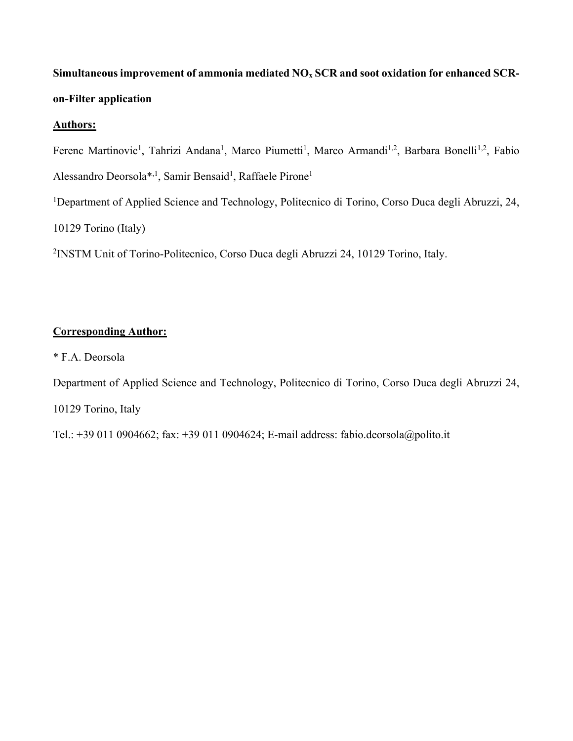# Simultaneous improvement of ammonia mediated NO<sub>x</sub> SCR and soot oxidation for enhanced SCR**on-Filter application**

## **Authors:**

Ferenc Martinovic<sup>1</sup>, Tahrizi Andana<sup>1</sup>, Marco Piumetti<sup>1</sup>, Marco Armandi<sup>1,2</sup>, Barbara Bonelli<sup>1,2</sup>, Fabio Alessandro Deorsola\*,<sup>1</sup>, Samir Bensaid<sup>1</sup>, Raffaele Pirone<sup>1</sup> <sup>1</sup>Department of Applied Science and Technology, Politecnico di Torino, Corso Duca degli Abruzzi, 24, 10129 Torino (Italy) 2 INSTM Unit of Torino-Politecnico, Corso Duca degli Abruzzi 24, 10129 Torino, Italy.

## **Corresponding Author:**

\* F.A. Deorsola

Department of Applied Science and Technology, Politecnico di Torino, Corso Duca degli Abruzzi 24, 10129 Torino, Italy

Tel.: +39 011 0904662; fax: +39 011 0904624; E-mail address: fabio.deorsola@polito.it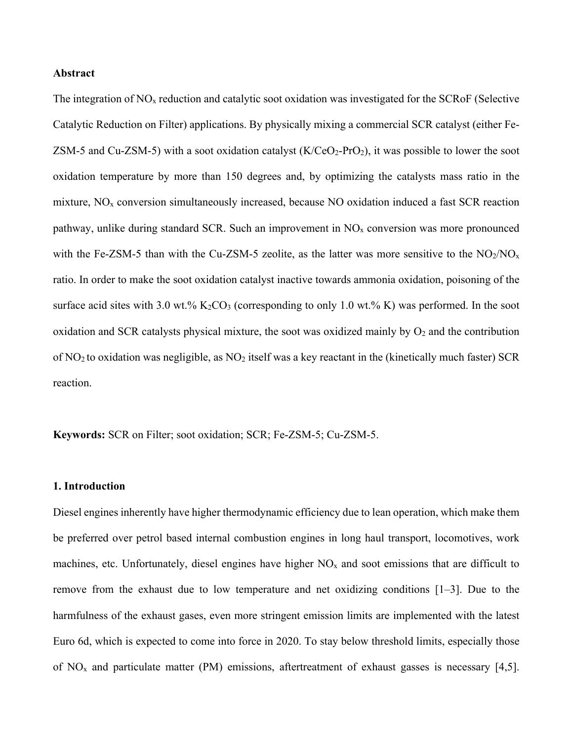#### **Abstract**

The integration of  $NO<sub>x</sub>$  reduction and catalytic soot oxidation was investigated for the SCRoF (Selective Catalytic Reduction on Filter) applications. By physically mixing a commercial SCR catalyst (either Fe-ZSM-5 and Cu-ZSM-5) with a soot oxidation catalyst  $(K/Co_2-Pro_2)$ , it was possible to lower the soot oxidation temperature by more than 150 degrees and, by optimizing the catalysts mass ratio in the mixture,  $NO<sub>x</sub>$  conversion simultaneously increased, because NO oxidation induced a fast SCR reaction pathway, unlike during standard SCR. Such an improvement in  $NO<sub>x</sub>$  conversion was more pronounced with the Fe-ZSM-5 than with the Cu-ZSM-5 zeolite, as the latter was more sensitive to the  $NO<sub>2</sub>/NO<sub>x</sub>$ ratio. In order to make the soot oxidation catalyst inactive towards ammonia oxidation, poisoning of the surface acid sites with 3.0 wt.%  $K_2CO_3$  (corresponding to only 1.0 wt.% K) was performed. In the soot oxidation and SCR catalysts physical mixture, the soot was oxidized mainly by  $O_2$  and the contribution of NO<sub>2</sub> to oxidation was negligible, as NO<sub>2</sub> itself was a key reactant in the (kinetically much faster) SCR reaction.

**Keywords:** SCR on Filter; soot oxidation; SCR; Fe-ZSM-5; Cu-ZSM-5.

#### **1. Introduction**

Diesel engines inherently have higher thermodynamic efficiency due to lean operation, which make them be preferred over petrol based internal combustion engines in long haul transport, locomotives, work machines, etc. Unfortunately, diesel engines have higher  $NO<sub>x</sub>$  and soot emissions that are difficult to remove from the exhaust due to low temperature and net oxidizing conditions [1–3]. Due to the harmfulness of the exhaust gases, even more stringent emission limits are implemented with the latest Euro 6d, which is expected to come into force in 2020. To stay below threshold limits, especially those of  $NO<sub>x</sub>$  and particulate matter (PM) emissions, aftertreatment of exhaust gasses is necessary [4,5].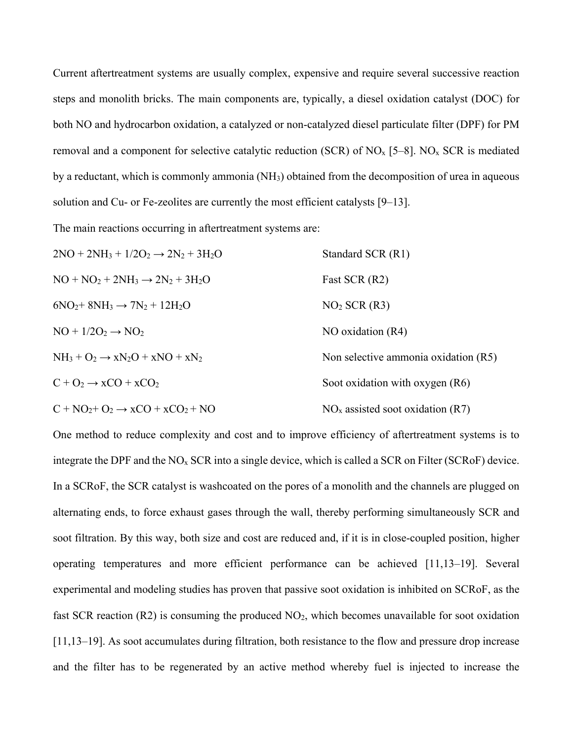Current aftertreatment systems are usually complex, expensive and require several successive reaction steps and monolith bricks. The main components are, typically, a diesel oxidation catalyst (DOC) for both NO and hydrocarbon oxidation, a catalyzed or non-catalyzed diesel particulate filter (DPF) for PM removal and a component for selective catalytic reduction (SCR) of  $NO_x$  [5–8].  $NO_x$  SCR is mediated by a reductant, which is commonly ammonia (NH3) obtained from the decomposition of urea in aqueous solution and Cu- or Fe-zeolites are currently the most efficient catalysts [9–13].

The main reactions occurring in aftertreatment systems are:

| $2NO + 2NH_3 + 1/2O_2 \rightarrow 2N_2 + 3H_2O$ | Standard SCR (R1)                    |
|-------------------------------------------------|--------------------------------------|
| $NO + NO2 + 2NH3 \rightarrow 2N2 + 3H2O$        | Fast SCR (R2)                        |
| $6NO2+8NH3\rightarrow 7N2+12H2O$                | $NO2$ SCR (R3)                       |
| $NO + 1/2O_2 \rightarrow NO_2$                  | NO oxidation (R4)                    |
| $NH_3 + O_2 \rightarrow xN_2O + xNO + xN_2$     | Non selective ammonia oxidation (R5) |
| $C + O_2 \rightarrow xCO + xCO_2$               | Soot oxidation with oxygen $(R6)$    |
| $C + NO2+ O2 \rightarrow xCO + xCO2 + NO$       | $NOx$ assisted soot oxidation (R7)   |

One method to reduce complexity and cost and to improve efficiency of aftertreatment systems is to integrate the DPF and the NOx SCR into a single device, which is called a SCR on Filter (SCRoF) device. In a SCRoF, the SCR catalyst is washcoated on the pores of a monolith and the channels are plugged on alternating ends, to force exhaust gases through the wall, thereby performing simultaneously SCR and soot filtration. By this way, both size and cost are reduced and, if it is in close-coupled position, higher operating temperatures and more efficient performance can be achieved [11,13–19]. Several experimental and modeling studies has proven that passive soot oxidation is inhibited on SCRoF, as the fast SCR reaction (R2) is consuming the produced  $NO<sub>2</sub>$ , which becomes unavailable for soot oxidation [11,13–19]. As soot accumulates during filtration, both resistance to the flow and pressure drop increase and the filter has to be regenerated by an active method whereby fuel is injected to increase the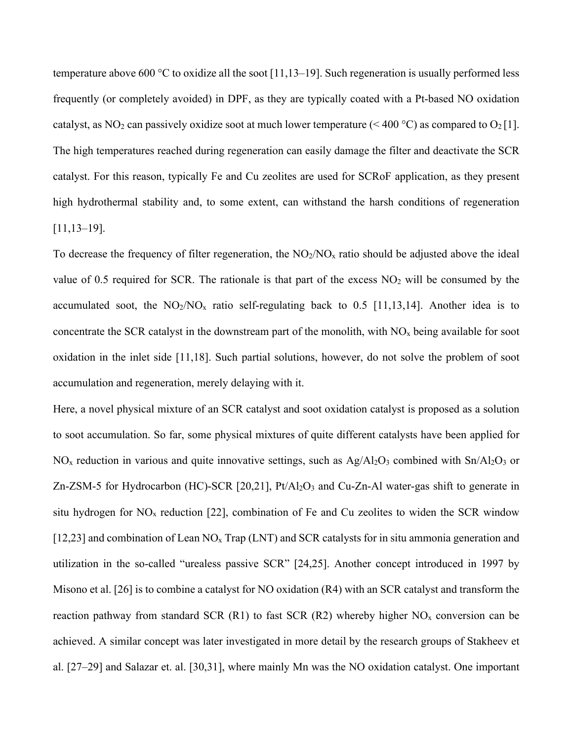temperature above 600 °C to oxidize all the soot [11,13–19]. Such regeneration is usually performed less frequently (or completely avoided) in DPF, as they are typically coated with a Pt-based NO oxidation catalyst, as NO<sub>2</sub> can passively oxidize soot at much lower temperature (< 400 °C) as compared to  $O_2[1]$ . The high temperatures reached during regeneration can easily damage the filter and deactivate the SCR catalyst. For this reason, typically Fe and Cu zeolites are used for SCRoF application, as they present high hydrothermal stability and, to some extent, can withstand the harsh conditions of regeneration [11,13–19].

To decrease the frequency of filter regeneration, the  $NO<sub>2</sub>/NO<sub>x</sub>$  ratio should be adjusted above the ideal value of 0.5 required for SCR. The rationale is that part of the excess  $NO<sub>2</sub>$  will be consumed by the accumulated soot, the  $NO_2/NO_x$  ratio self-regulating back to 0.5 [11,13,14]. Another idea is to concentrate the SCR catalyst in the downstream part of the monolith, with  $NO<sub>x</sub>$  being available for soot oxidation in the inlet side [11,18]. Such partial solutions, however, do not solve the problem of soot accumulation and regeneration, merely delaying with it.

Here, a novel physical mixture of an SCR catalyst and soot oxidation catalyst is proposed as a solution to soot accumulation. So far, some physical mixtures of quite different catalysts have been applied for  $NO<sub>x</sub>$  reduction in various and quite innovative settings, such as  $Ag/Al<sub>2</sub>O<sub>3</sub>$  combined with  $Sn/Al<sub>2</sub>O<sub>3</sub>$  or Zn-ZSM-5 for Hydrocarbon (HC)-SCR [20,21], Pt/Al<sub>2</sub>O<sub>3</sub> and Cu-Zn-Al water-gas shift to generate in situ hydrogen for  $NO<sub>x</sub>$  reduction [22], combination of Fe and Cu zeolites to widen the SCR window [12,23] and combination of Lean NO<sub>x</sub> Trap (LNT) and SCR catalysts for in situ ammonia generation and utilization in the so-called "urealess passive SCR" [24,25]. Another concept introduced in 1997 by Misono et al. [26] is to combine a catalyst for NO oxidation (R4) with an SCR catalyst and transform the reaction pathway from standard SCR (R1) to fast SCR (R2) whereby higher  $NO<sub>x</sub>$  conversion can be achieved. A similar concept was later investigated in more detail by the research groups of Stakheev et al. [27–29] and Salazar et. al. [30,31], where mainly Mn was the NO oxidation catalyst. One important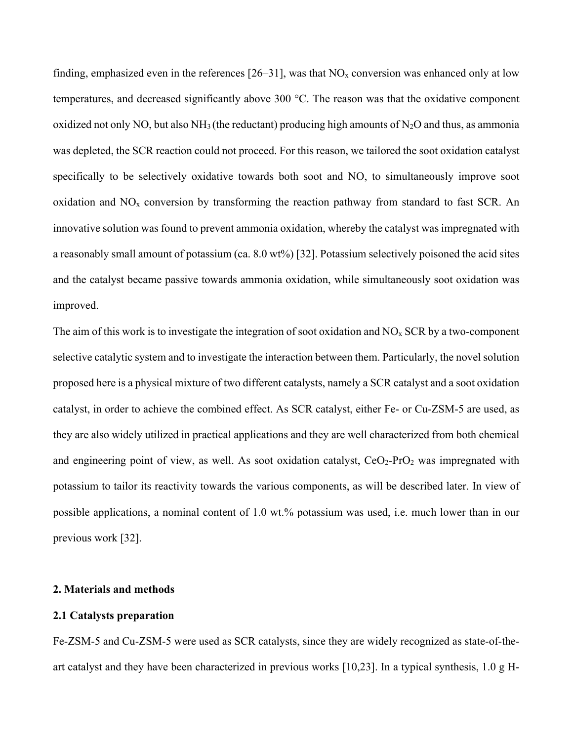finding, emphasized even in the references [26–31], was that  $NO<sub>x</sub>$  conversion was enhanced only at low temperatures, and decreased significantly above 300 °C. The reason was that the oxidative component oxidized not only NO, but also  $NH_3$  (the reductant) producing high amounts of N<sub>2</sub>O and thus, as ammonia was depleted, the SCR reaction could not proceed. For this reason, we tailored the soot oxidation catalyst specifically to be selectively oxidative towards both soot and NO, to simultaneously improve soot oxidation and  $NO<sub>x</sub>$  conversion by transforming the reaction pathway from standard to fast SCR. An innovative solution was found to prevent ammonia oxidation, whereby the catalyst was impregnated with a reasonably small amount of potassium (ca. 8.0 wt%) [32]. Potassium selectively poisoned the acid sites and the catalyst became passive towards ammonia oxidation, while simultaneously soot oxidation was improved.

The aim of this work is to investigate the integration of soot oxidation and  $NO<sub>x</sub>$  SCR by a two-component selective catalytic system and to investigate the interaction between them. Particularly, the novel solution proposed here is a physical mixture of two different catalysts, namely a SCR catalyst and a soot oxidation catalyst, in order to achieve the combined effect. As SCR catalyst, either Fe- or Cu-ZSM-5 are used, as they are also widely utilized in practical applications and they are well characterized from both chemical and engineering point of view, as well. As soot oxidation catalyst,  $CeO<sub>2</sub>-PrO<sub>2</sub>$  was impregnated with potassium to tailor its reactivity towards the various components, as will be described later. In view of possible applications, a nominal content of 1.0 wt.% potassium was used, i.e. much lower than in our previous work [32].

#### **2. Materials and methods**

#### **2.1 Catalysts preparation**

Fe-ZSM-5 and Cu-ZSM-5 were used as SCR catalysts, since they are widely recognized as state-of-theart catalyst and they have been characterized in previous works [10,23]. In a typical synthesis, 1.0 g H-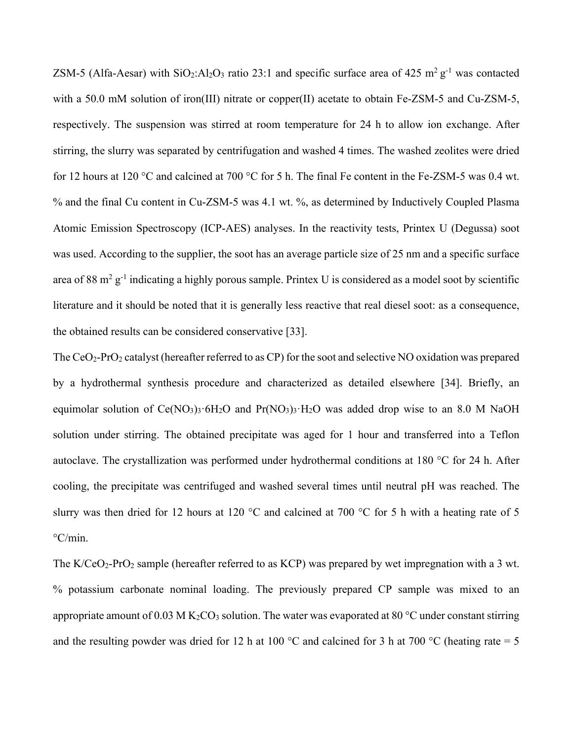ZSM-5 (Alfa-Aesar) with SiO<sub>2</sub>:Al<sub>2</sub>O<sub>3</sub> ratio 23:1 and specific surface area of 425 m<sup>2</sup> g<sup>-1</sup> was contacted with a 50.0 mM solution of iron(III) nitrate or copper(II) acetate to obtain Fe-ZSM-5 and Cu-ZSM-5, respectively. The suspension was stirred at room temperature for 24 h to allow ion exchange. After stirring, the slurry was separated by centrifugation and washed 4 times. The washed zeolites were dried for 12 hours at 120 °C and calcined at 700 °C for 5 h. The final Fe content in the Fe-ZSM-5 was 0.4 wt. % and the final Cu content in Cu-ZSM-5 was 4.1 wt. %, as determined by Inductively Coupled Plasma Atomic Emission Spectroscopy (ICP-AES) analyses. In the reactivity tests, Printex U (Degussa) soot was used. According to the supplier, the soot has an average particle size of 25 nm and a specific surface area of 88 m<sup>2</sup> g<sup>-1</sup> indicating a highly porous sample. Printex U is considered as a model soot by scientific literature and it should be noted that it is generally less reactive that real diesel soot: as a consequence, the obtained results can be considered conservative [33].

The  $CeO<sub>2</sub>-Pro<sub>2</sub>$  catalyst (hereafter referred to as CP) for the soot and selective NO oxidation was prepared by a hydrothermal synthesis procedure and characterized as detailed elsewhere [34]. Briefly, an equimolar solution of  $Ce(NO<sub>3</sub>)<sub>3</sub>·6H<sub>2</sub>O$  and  $Pr(NO<sub>3</sub>)<sub>3</sub>·H<sub>2</sub>O$  was added drop wise to an 8.0 M NaOH solution under stirring. The obtained precipitate was aged for 1 hour and transferred into a Teflon autoclave. The crystallization was performed under hydrothermal conditions at 180 °C for 24 h. After cooling, the precipitate was centrifuged and washed several times until neutral pH was reached. The slurry was then dried for 12 hours at 120 °C and calcined at 700 °C for 5 h with a heating rate of 5  $\mathrm{^{\circ}C/min}$ .

The  $K/CeO<sub>2</sub>-Pro<sub>2</sub>$  sample (hereafter referred to as  $KCP$ ) was prepared by wet impregnation with a 3 wt. % potassium carbonate nominal loading. The previously prepared CP sample was mixed to an appropriate amount of 0.03 M K<sub>2</sub>CO<sub>3</sub> solution. The water was evaporated at 80 °C under constant stirring and the resulting powder was dried for 12 h at 100 °C and calcined for 3 h at 700 °C (heating rate = 5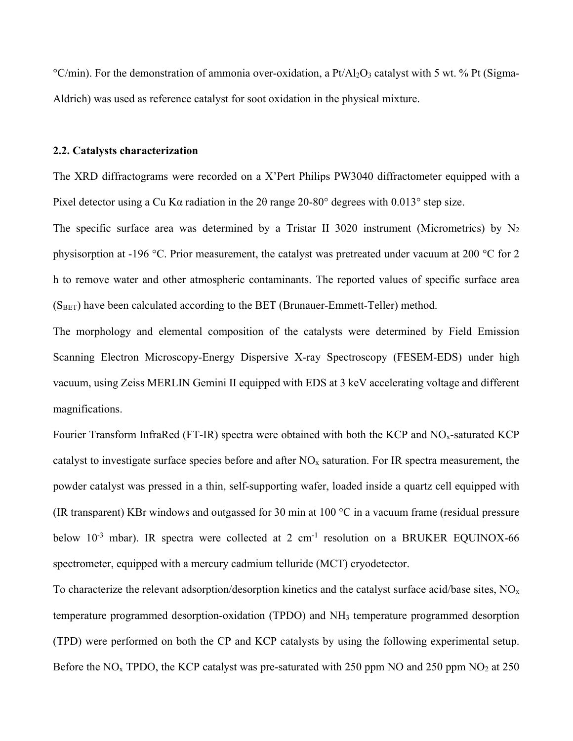$\rm{°C/min}$ ). For the demonstration of ammonia over-oxidation, a Pt/Al<sub>2</sub>O<sub>3</sub> catalyst with 5 wt. % Pt (Sigma-Aldrich) was used as reference catalyst for soot oxidation in the physical mixture.

#### **2.2. Catalysts characterization**

The XRD diffractograms were recorded on a X'Pert Philips PW3040 diffractometer equipped with a Pixel detector using a Cu Kα radiation in the 2θ range 20-80° degrees with 0.013° step size.

The specific surface area was determined by a Tristar II 3020 instrument (Micrometrics) by  $N_2$ physisorption at -196 °C. Prior measurement, the catalyst was pretreated under vacuum at 200 °C for 2 h to remove water and other atmospheric contaminants. The reported values of specific surface area  $(S<sub>BET</sub>)$  have been calculated according to the BET (Brunauer-Emmett-Teller) method.

The morphology and elemental composition of the catalysts were determined by Field Emission Scanning Electron Microscopy-Energy Dispersive X-ray Spectroscopy (FESEM-EDS) under high vacuum, using Zeiss MERLIN Gemini II equipped with EDS at 3 keV accelerating voltage and different magnifications.

Fourier Transform InfraRed (FT-IR) spectra were obtained with both the KCP and  $NO<sub>x</sub>$ -saturated KCP catalyst to investigate surface species before and after  $NO<sub>x</sub>$  saturation. For IR spectra measurement, the powder catalyst was pressed in a thin, self-supporting wafer, loaded inside a quartz cell equipped with (IR transparent) KBr windows and outgassed for 30 min at 100 °C in a vacuum frame (residual pressure below  $10^{-3}$  mbar). IR spectra were collected at 2 cm<sup>-1</sup> resolution on a BRUKER EQUINOX-66 spectrometer, equipped with a mercury cadmium telluride (MCT) cryodetector.

To characterize the relevant adsorption/desorption kinetics and the catalyst surface acid/base sites,  $NO<sub>x</sub>$ temperature programmed desorption-oxidation (TPDO) and NH3 temperature programmed desorption (TPD) were performed on both the CP and KCP catalysts by using the following experimental setup. Before the  $NO<sub>x</sub>$  TPDO, the KCP catalyst was pre-saturated with 250 ppm NO and 250 ppm  $NO<sub>2</sub>$  at 250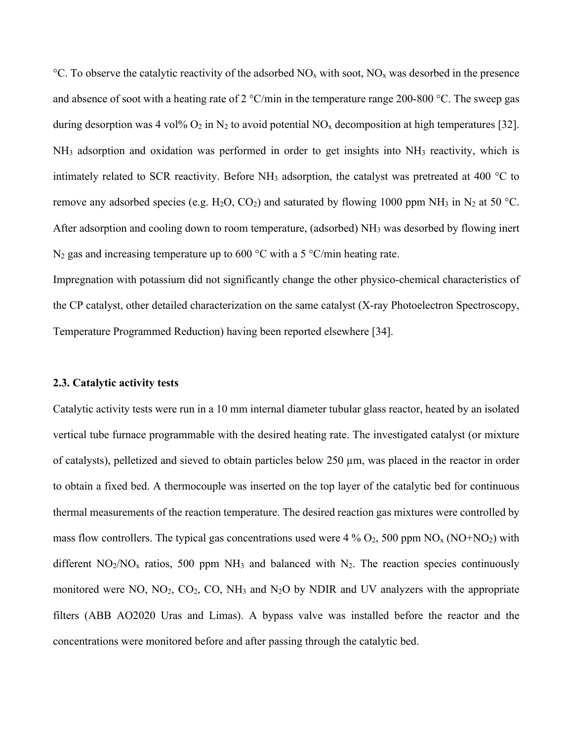$\rm{^{\circ}C}$ . To observe the catalytic reactivity of the adsorbed NO<sub>x</sub> with soot, NO<sub>x</sub> was desorbed in the presence and absence of soot with a heating rate of 2 °C/min in the temperature range 200-800 °C. The sweep gas during desorption was 4 vol%  $O_2$  in N<sub>2</sub> to avoid potential NO<sub>x</sub> decomposition at high temperatures [32]. NH3 adsorption and oxidation was performed in order to get insights into NH3 reactivity, which is intimately related to SCR reactivity. Before NH<sub>3</sub> adsorption, the catalyst was pretreated at 400  $^{\circ}$ C to remove any adsorbed species (e.g. H<sub>2</sub>O, CO<sub>2</sub>) and saturated by flowing 1000 ppm NH<sub>3</sub> in N<sub>2</sub> at 50 °C. After adsorption and cooling down to room temperature, (adsorbed) NH<sub>3</sub> was desorbed by flowing inert  $N_2$  gas and increasing temperature up to 600 °C with a 5 °C/min heating rate.

Impregnation with potassium did not significantly change the other physico-chemical characteristics of the CP catalyst, other detailed characterization on the same catalyst (X-ray Photoelectron Spectroscopy, Temperature Programmed Reduction) having been reported elsewhere [34].

#### **2.3. Catalytic activity tests**

Catalytic activity tests were run in a 10 mm internal diameter tubular glass reactor, heated by an isolated vertical tube furnace programmable with the desired heating rate. The investigated catalyst (or mixture of catalysts), pelletized and sieved to obtain particles below 250 µm, was placed in the reactor in order to obtain a fixed bed. A thermocouple was inserted on the top layer of the catalytic bed for continuous thermal measurements of the reaction temperature. The desired reaction gas mixtures were controlled by mass flow controllers. The typical gas concentrations used were 4 %  $O_2$ , 500 ppm  $NO_x (NO+NO_2)$  with different  $NO_2/NO_x$  ratios, 500 ppm  $NH_3$  and balanced with  $N_2$ . The reaction species continuously monitored were NO,  $NO<sub>2</sub>$ ,  $CO<sub>2</sub>$ ,  $CO<sub>2</sub>$ ,  $NO<sub>3</sub>$  and  $N<sub>2</sub>O$  by NDIR and UV analyzers with the appropriate filters (ABB AO2020 Uras and Limas). A bypass valve was installed before the reactor and the concentrations were monitored before and after passing through the catalytic bed.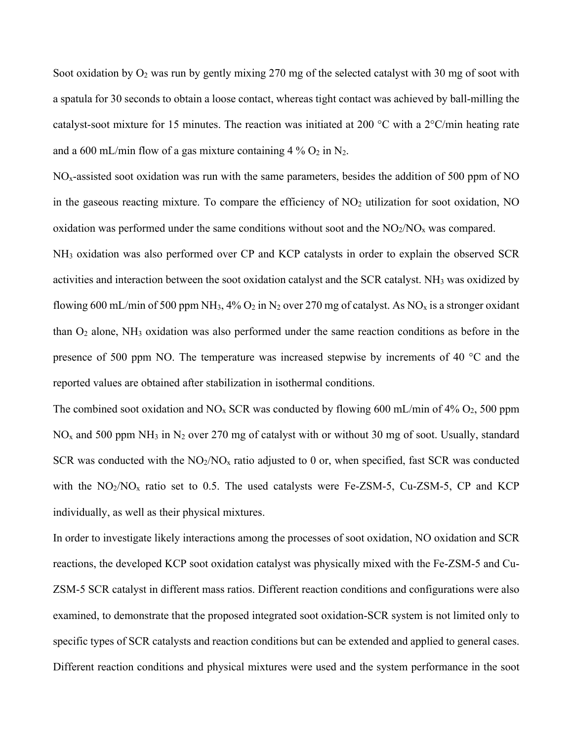Soot oxidation by  $O_2$  was run by gently mixing 270 mg of the selected catalyst with 30 mg of soot with a spatula for 30 seconds to obtain a loose contact, whereas tight contact was achieved by ball-milling the catalyst-soot mixture for 15 minutes. The reaction was initiated at 200  $\rm{^{\circ}C}$  with a 2 $\rm{^{\circ}C/min}$  heating rate and a 600 mL/min flow of a gas mixture containing  $4\%$  O<sub>2</sub> in N<sub>2</sub>.

 $NO<sub>x</sub>$ -assisted soot oxidation was run with the same parameters, besides the addition of 500 ppm of NO in the gaseous reacting mixture. To compare the efficiency of  $NO<sub>2</sub>$  utilization for soot oxidation, NO oxidation was performed under the same conditions without soot and the  $NO<sub>2</sub>/NO<sub>x</sub>$  was compared.

NH3 oxidation was also performed over CP and KCP catalysts in order to explain the observed SCR activities and interaction between the soot oxidation catalyst and the SCR catalyst. NH3 was oxidized by flowing 600 mL/min of 500 ppm NH<sub>3</sub>, 4% O<sub>2</sub> in N<sub>2</sub> over 270 mg of catalyst. As NO<sub>x</sub> is a stronger oxidant than O2 alone, NH3 oxidation was also performed under the same reaction conditions as before in the presence of 500 ppm NO. The temperature was increased stepwise by increments of 40 °C and the reported values are obtained after stabilization in isothermal conditions.

The combined soot oxidation and  $NO<sub>x</sub>$  SCR was conducted by flowing 600 mL/min of 4%  $O<sub>2</sub>$ , 500 ppm  $NO<sub>x</sub>$  and 500 ppm NH<sub>3</sub> in N<sub>2</sub> over 270 mg of catalyst with or without 30 mg of soot. Usually, standard SCR was conducted with the  $NO<sub>2</sub>/NO<sub>x</sub>$  ratio adjusted to 0 or, when specified, fast SCR was conducted with the  $NO_2/NO_x$  ratio set to 0.5. The used catalysts were Fe-ZSM-5, Cu-ZSM-5, CP and KCP individually, as well as their physical mixtures.

In order to investigate likely interactions among the processes of soot oxidation, NO oxidation and SCR reactions, the developed KCP soot oxidation catalyst was physically mixed with the Fe-ZSM-5 and Cu-ZSM-5 SCR catalyst in different mass ratios. Different reaction conditions and configurations were also examined, to demonstrate that the proposed integrated soot oxidation-SCR system is not limited only to specific types of SCR catalysts and reaction conditions but can be extended and applied to general cases. Different reaction conditions and physical mixtures were used and the system performance in the soot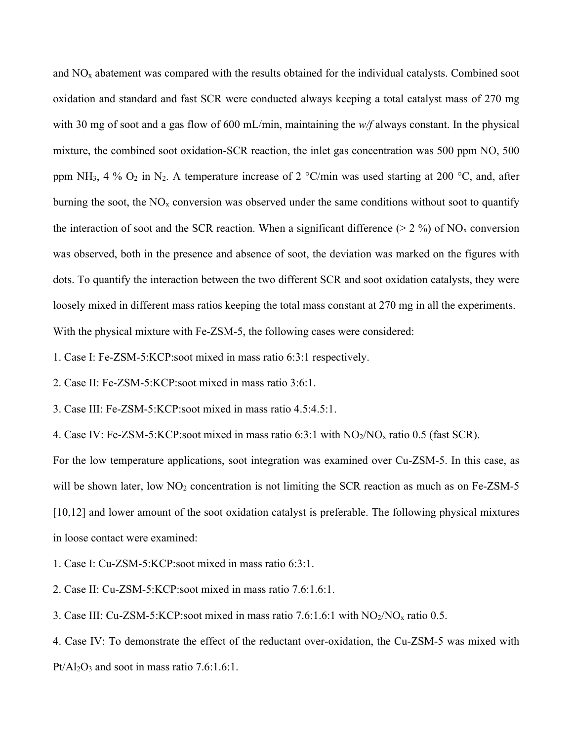and  $NO<sub>x</sub>$  abatement was compared with the results obtained for the individual catalysts. Combined soot oxidation and standard and fast SCR were conducted always keeping a total catalyst mass of 270 mg with 30 mg of soot and a gas flow of 600 mL/min, maintaining the *w/f* always constant. In the physical mixture, the combined soot oxidation-SCR reaction, the inlet gas concentration was 500 ppm NO, 500 ppm NH<sub>3</sub>, 4 %  $O_2$  in N<sub>2</sub>. A temperature increase of 2 °C/min was used starting at 200 °C, and, after burning the soot, the  $NO<sub>x</sub>$  conversion was observed under the same conditions without soot to quantify the interaction of soot and the SCR reaction. When a significant difference ( $> 2\%$ ) of NO<sub>x</sub> conversion was observed, both in the presence and absence of soot, the deviation was marked on the figures with dots. To quantify the interaction between the two different SCR and soot oxidation catalysts, they were loosely mixed in different mass ratios keeping the total mass constant at 270 mg in all the experiments. With the physical mixture with Fe-ZSM-5, the following cases were considered:

1. Case I: Fe-ZSM-5:KCP:soot mixed in mass ratio 6:3:1 respectively.

2. Case II: Fe-ZSM-5:KCP:soot mixed in mass ratio 3:6:1.

3. Case III: Fe-ZSM-5:KCP:soot mixed in mass ratio 4.5:4.5:1.

4. Case IV: Fe-ZSM-5:KCP:soot mixed in mass ratio 6:3:1 with  $NO<sub>2</sub>/NO<sub>x</sub>$  ratio 0.5 (fast SCR).

For the low temperature applications, soot integration was examined over Cu-ZSM-5. In this case, as will be shown later, low  $NO<sub>2</sub>$  concentration is not limiting the SCR reaction as much as on Fe-ZSM-5 [10,12] and lower amount of the soot oxidation catalyst is preferable. The following physical mixtures in loose contact were examined:

1. Case I: Cu-ZSM-5:KCP:soot mixed in mass ratio 6:3:1.

2. Case II: Cu-ZSM-5:KCP:soot mixed in mass ratio 7.6:1.6:1.

3. Case III: Cu-ZSM-5:KCP:soot mixed in mass ratio 7.6:1.6:1 with  $NO_2/NO_x$  ratio 0.5.

4. Case IV: To demonstrate the effect of the reductant over-oxidation, the Cu-ZSM-5 was mixed with  $Pt/Al_2O_3$  and soot in mass ratio 7.6:1.6:1.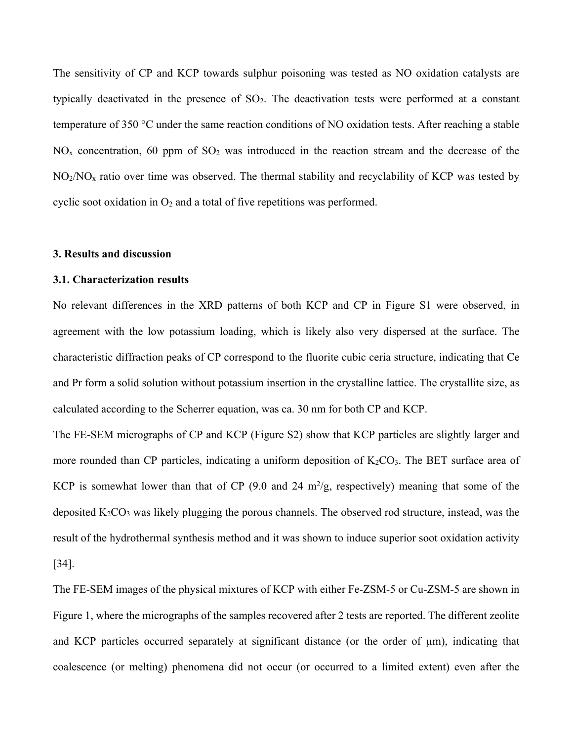The sensitivity of CP and KCP towards sulphur poisoning was tested as NO oxidation catalysts are typically deactivated in the presence of  $SO_2$ . The deactivation tests were performed at a constant temperature of 350 °C under the same reaction conditions of NO oxidation tests. After reaching a stable  $NO<sub>x</sub>$  concentration, 60 ppm of  $SO<sub>2</sub>$  was introduced in the reaction stream and the decrease of the  $NO<sub>2</sub>/NO<sub>x</sub>$  ratio over time was observed. The thermal stability and recyclability of KCP was tested by cyclic soot oxidation in  $O_2$  and a total of five repetitions was performed.

#### **3. Results and discussion**

#### **3.1. Characterization results**

No relevant differences in the XRD patterns of both KCP and CP in Figure S1 were observed, in agreement with the low potassium loading, which is likely also very dispersed at the surface. The characteristic diffraction peaks of CP correspond to the fluorite cubic ceria structure, indicating that Ce and Pr form a solid solution without potassium insertion in the crystalline lattice. The crystallite size, as calculated according to the Scherrer equation, was ca. 30 nm for both CP and KCP.

The FE-SEM micrographs of CP and KCP (Figure S2) show that KCP particles are slightly larger and more rounded than CP particles, indicating a uniform deposition of  $K_2CO_3$ . The BET surface area of KCP is somewhat lower than that of CP  $(9.0 \text{ and } 24 \text{ m}^2/\text{g})$ , respectively) meaning that some of the deposited  $K_2CO_3$  was likely plugging the porous channels. The observed rod structure, instead, was the result of the hydrothermal synthesis method and it was shown to induce superior soot oxidation activity [34].

The FE-SEM images of the physical mixtures of KCP with either Fe-ZSM-5 or Cu-ZSM-5 are shown in Figure 1, where the micrographs of the samples recovered after 2 tests are reported. The different zeolite and KCP particles occurred separately at significant distance (or the order of µm), indicating that coalescence (or melting) phenomena did not occur (or occurred to a limited extent) even after the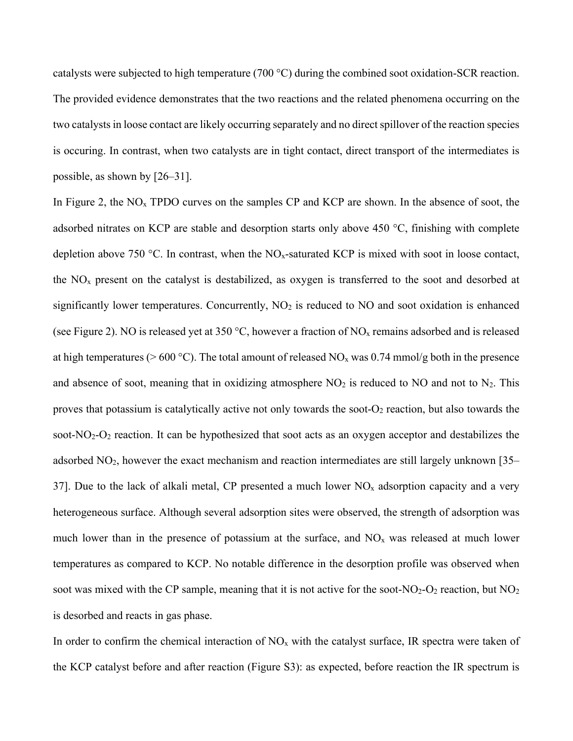catalysts were subjected to high temperature (700 °C) during the combined soot oxidation-SCR reaction. The provided evidence demonstrates that the two reactions and the related phenomena occurring on the two catalystsin loose contact are likely occurring separately and no direct spillover of the reaction species is occuring. In contrast, when two catalysts are in tight contact, direct transport of the intermediates is possible, as shown by [26–31].

In Figure 2, the  $NO<sub>x</sub>$  TPDO curves on the samples CP and KCP are shown. In the absence of soot, the adsorbed nitrates on KCP are stable and desorption starts only above 450 °C, finishing with complete depletion above 750 °C. In contrast, when the  $NO<sub>x</sub>$ -saturated KCP is mixed with soot in loose contact, the  $NO<sub>x</sub>$  present on the catalyst is destabilized, as oxygen is transferred to the soot and desorbed at significantly lower temperatures. Concurrently,  $NO<sub>2</sub>$  is reduced to  $NO$  and soot oxidation is enhanced (see Figure 2). NO is released yet at 350 °C, however a fraction of NO<sub>x</sub> remains adsorbed and is released at high temperatures ( $> 600 \degree C$ ). The total amount of released NO<sub>x</sub> was 0.74 mmol/g both in the presence and absence of soot, meaning that in oxidizing atmosphere  $NO<sub>2</sub>$  is reduced to NO and not to  $N<sub>2</sub>$ . This proves that potassium is catalytically active not only towards the soot- $O<sub>2</sub>$  reaction, but also towards the soot- $NO<sub>2</sub>-O<sub>2</sub>$  reaction. It can be hypothesized that soot acts as an oxygen acceptor and destabilizes the adsorbed NO<sub>2</sub>, however the exact mechanism and reaction intermediates are still largely unknown [35– 37]. Due to the lack of alkali metal, CP presented a much lower  $NO<sub>x</sub>$  adsorption capacity and a very heterogeneous surface. Although several adsorption sites were observed, the strength of adsorption was much lower than in the presence of potassium at the surface, and  $NO<sub>x</sub>$  was released at much lower temperatures as compared to KCP. No notable difference in the desorption profile was observed when soot was mixed with the CP sample, meaning that it is not active for the soot- $NO<sub>2</sub>-O<sub>2</sub>$  reaction, but  $NO<sub>2</sub>$ is desorbed and reacts in gas phase.

In order to confirm the chemical interaction of  $NO<sub>x</sub>$  with the catalyst surface, IR spectra were taken of the KCP catalyst before and after reaction (Figure S3): as expected, before reaction the IR spectrum is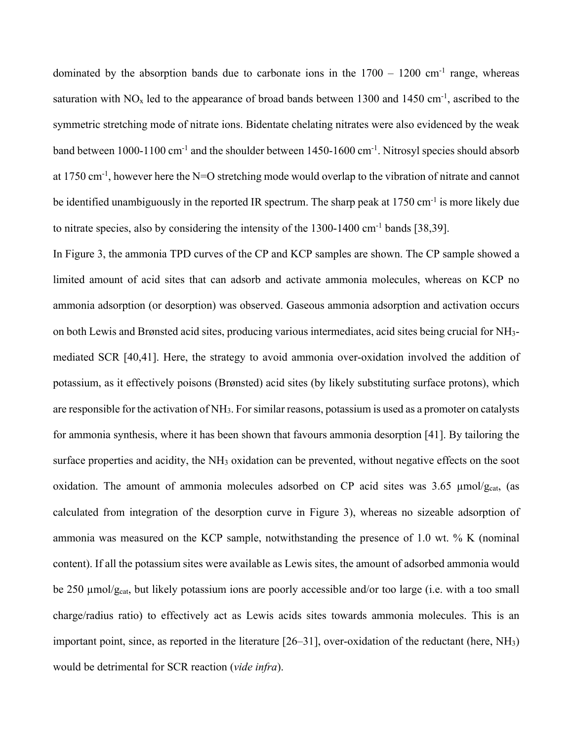dominated by the absorption bands due to carbonate ions in the  $1700 - 1200$  cm<sup>-1</sup> range, whereas saturation with  $NO<sub>x</sub>$  led to the appearance of broad bands between 1300 and 1450 cm<sup>-1</sup>, ascribed to the symmetric stretching mode of nitrate ions. Bidentate chelating nitrates were also evidenced by the weak band between 1000-1100 cm<sup>-1</sup> and the shoulder between 1450-1600 cm<sup>-1</sup>. Nitrosyl species should absorb at 1750 cm<sup>-1</sup>, however here the N=O stretching mode would overlap to the vibration of nitrate and cannot be identified unambiguously in the reported IR spectrum. The sharp peak at  $1750 \text{ cm}^{-1}$  is more likely due to nitrate species, also by considering the intensity of the  $1300-1400 \text{ cm}^{-1}$  bands [38,39].

In Figure 3, the ammonia TPD curves of the CP and KCP samples are shown. The CP sample showed a limited amount of acid sites that can adsorb and activate ammonia molecules, whereas on KCP no ammonia adsorption (or desorption) was observed. Gaseous ammonia adsorption and activation occurs on both Lewis and Brønsted acid sites, producing various intermediates, acid sites being crucial for NH3 mediated SCR [40,41]. Here, the strategy to avoid ammonia over-oxidation involved the addition of potassium, as it effectively poisons (Brønsted) acid sites (by likely substituting surface protons), which are responsible for the activation of NH3. For similar reasons, potassium is used as a promoter on catalysts for ammonia synthesis, where it has been shown that favours ammonia desorption [41]. By tailoring the surface properties and acidity, the NH<sub>3</sub> oxidation can be prevented, without negative effects on the soot oxidation. The amount of ammonia molecules adsorbed on CP acid sites was  $3.65 \mu m o l/g<sub>cat</sub>$ , (as calculated from integration of the desorption curve in Figure 3), whereas no sizeable adsorption of ammonia was measured on the KCP sample, notwithstanding the presence of 1.0 wt. % K (nominal content). If all the potassium sites were available as Lewis sites, the amount of adsorbed ammonia would be 250 µmol/g<sub>cat</sub>, but likely potassium ions are poorly accessible and/or too large (i.e. with a too small charge/radius ratio) to effectively act as Lewis acids sites towards ammonia molecules. This is an important point, since, as reported in the literature  $[26-31]$ , over-oxidation of the reductant (here, NH<sub>3</sub>) would be detrimental for SCR reaction (*vide infra*).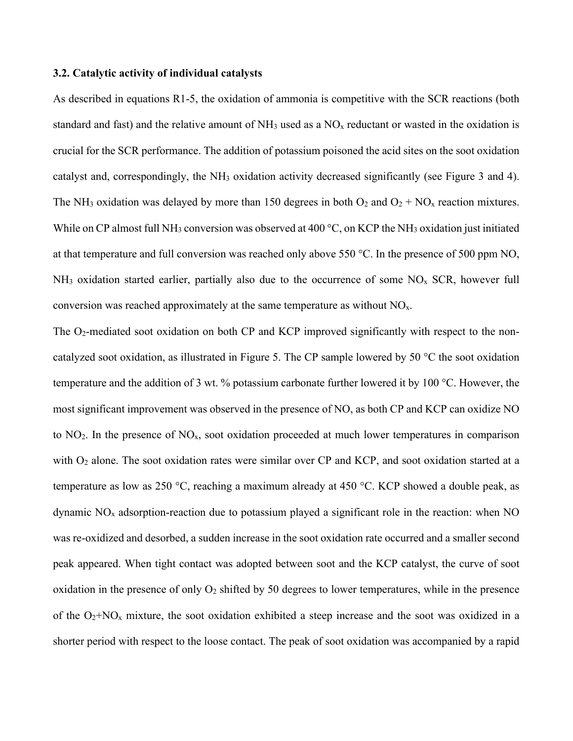#### **3.2. Catalytic activity of individual catalysts**

As described in equations R1-5, the oxidation of ammonia is competitive with the SCR reactions (both standard and fast) and the relative amount of  $NH_3$  used as a  $NO<sub>x</sub>$  reductant or wasted in the oxidation is crucial for the SCR performance. The addition of potassium poisoned the acid sites on the soot oxidation catalyst and, correspondingly, the NH3 oxidation activity decreased significantly (see Figure 3 and 4). The NH<sub>3</sub> oxidation was delayed by more than 150 degrees in both  $O_2$  and  $O_2 + NO_x$  reaction mixtures. While on CP almost full NH<sub>3</sub> conversion was observed at 400  $\degree$ C, on KCP the NH<sub>3</sub> oxidation just initiated at that temperature and full conversion was reached only above 550 °C. In the presence of 500 ppm NO,  $NH<sub>3</sub>$  oxidation started earlier, partially also due to the occurrence of some  $NO<sub>x</sub>$  SCR, however full conversion was reached approximately at the same temperature as without  $NO<sub>x</sub>$ .

The  $O_2$ -mediated soot oxidation on both CP and KCP improved significantly with respect to the noncatalyzed soot oxidation, as illustrated in Figure 5. The CP sample lowered by 50 °C the soot oxidation temperature and the addition of 3 wt. % potassium carbonate further lowered it by 100 °C. However, the most significant improvement was observed in the presence of NO, as both CP and KCP can oxidize NO to  $NO<sub>2</sub>$ . In the presence of  $NO<sub>x</sub>$ , soot oxidation proceeded at much lower temperatures in comparison with O<sub>2</sub> alone. The soot oxidation rates were similar over CP and KCP, and soot oxidation started at a temperature as low as 250 °C, reaching a maximum already at 450 °C. KCP showed a double peak, as dynamic  $NO<sub>x</sub>$  adsorption-reaction due to potassium played a significant role in the reaction: when NO was re-oxidized and desorbed, a sudden increase in the soot oxidation rate occurred and a smaller second peak appeared. When tight contact was adopted between soot and the KCP catalyst, the curve of soot oxidation in the presence of only  $O_2$  shifted by 50 degrees to lower temperatures, while in the presence of the  $O_2+NO_x$  mixture, the soot oxidation exhibited a steep increase and the soot was oxidized in a shorter period with respect to the loose contact. The peak of soot oxidation was accompanied by a rapid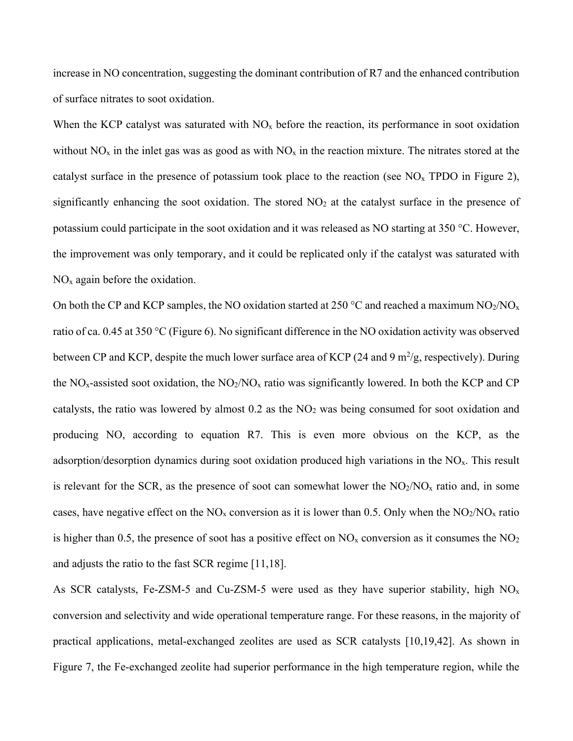increase in NO concentration, suggesting the dominant contribution of R7 and the enhanced contribution of surface nitrates to soot oxidation.

When the KCP catalyst was saturated with  $NO<sub>x</sub>$  before the reaction, its performance in soot oxidation without  $NO_x$  in the inlet gas was as good as with  $NO_x$  in the reaction mixture. The nitrates stored at the catalyst surface in the presence of potassium took place to the reaction (see  $NO<sub>x</sub>$  TPDO in Figure 2), significantly enhancing the soot oxidation. The stored  $NO<sub>2</sub>$  at the catalyst surface in the presence of potassium could participate in the soot oxidation and it was released as NO starting at 350 °C. However, the improvement was only temporary, and it could be replicated only if the catalyst was saturated with  $NO<sub>x</sub>$  again before the oxidation.

On both the CP and KCP samples, the NO oxidation started at 250 °C and reached a maximum  $NO_2/NO_x$ ratio of ca. 0.45 at 350 °C (Figure 6). No significant difference in the NO oxidation activity was observed between CP and KCP, despite the much lower surface area of KCP (24 and 9 m<sup>2</sup>/g, respectively). During the  $NO<sub>x</sub>$ -assisted soot oxidation, the  $NO<sub>2</sub>/NO<sub>x</sub>$  ratio was significantly lowered. In both the KCP and CP catalysts, the ratio was lowered by almost 0.2 as the NO2 was being consumed for soot oxidation and producing NO, according to equation R7. This is even more obvious on the KCP, as the adsorption/desorption dynamics during soot oxidation produced high variations in the  $NO<sub>x</sub>$ . This result is relevant for the SCR, as the presence of soot can somewhat lower the  $NO<sub>2</sub>/NO<sub>x</sub>$  ratio and, in some cases, have negative effect on the  $NO_x$  conversion as it is lower than 0.5. Only when the  $NO_2/NO_x$  ratio is higher than 0.5, the presence of soot has a positive effect on  $NO<sub>x</sub>$  conversion as it consumes the  $NO<sub>2</sub>$ and adjusts the ratio to the fast SCR regime [11,18].

As SCR catalysts, Fe-ZSM-5 and Cu-ZSM-5 were used as they have superior stability, high  $NO<sub>x</sub>$ conversion and selectivity and wide operational temperature range. For these reasons, in the majority of practical applications, metal-exchanged zeolites are used as SCR catalysts [10,19,42]. As shown in Figure 7, the Fe-exchanged zeolite had superior performance in the high temperature region, while the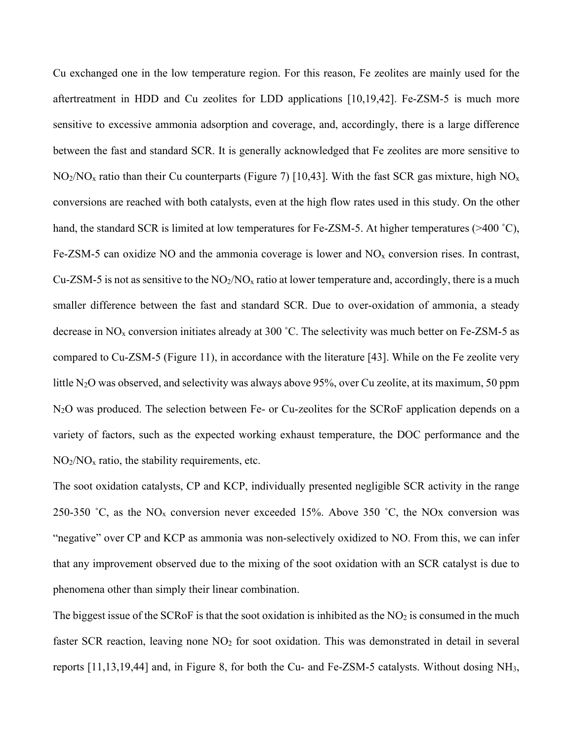Cu exchanged one in the low temperature region. For this reason, Fe zeolites are mainly used for the aftertreatment in HDD and Cu zeolites for LDD applications [10,19,42]. Fe-ZSM-5 is much more sensitive to excessive ammonia adsorption and coverage, and, accordingly, there is a large difference between the fast and standard SCR. It is generally acknowledged that Fe zeolites are more sensitive to  $NO<sub>2</sub>/NO<sub>x</sub>$  ratio than their Cu counterparts (Figure 7) [10,43]. With the fast SCR gas mixture, high  $NO<sub>x</sub>$ conversions are reached with both catalysts, even at the high flow rates used in this study. On the other hand, the standard SCR is limited at low temperatures for Fe-ZSM-5. At higher temperatures (>400 °C), Fe-ZSM-5 can oxidize NO and the ammonia coverage is lower and  $NO<sub>x</sub>$  conversion rises. In contrast, Cu-ZSM-5 is not as sensitive to the  $NO_2/NO_x$  ratio at lower temperature and, accordingly, there is a much smaller difference between the fast and standard SCR. Due to over-oxidation of ammonia, a steady decrease in NOx conversion initiates already at 300 ˚C. The selectivity was much better on Fe-ZSM-5 as compared to Cu-ZSM-5 (Figure 11), in accordance with the literature [43]. While on the Fe zeolite very little N<sub>2</sub>O was observed, and selectivity was always above 95%, over Cu zeolite, at its maximum, 50 ppm N2O was produced. The selection between Fe- or Cu-zeolites for the SCRoF application depends on a variety of factors, such as the expected working exhaust temperature, the DOC performance and the  $NO<sub>2</sub>/NO<sub>x</sub>$  ratio, the stability requirements, etc.

The soot oxidation catalysts, CP and KCP, individually presented negligible SCR activity in the range 250-350 °C, as the  $NO<sub>x</sub>$  conversion never exceeded 15%. Above 350 °C, the NOx conversion was "negative" over CP and KCP as ammonia was non-selectively oxidized to NO. From this, we can infer that any improvement observed due to the mixing of the soot oxidation with an SCR catalyst is due to phenomena other than simply their linear combination.

The biggest issue of the SCRoF is that the soot oxidation is inhibited as the  $NO<sub>2</sub>$  is consumed in the much faster SCR reaction, leaving none  $NO<sub>2</sub>$  for soot oxidation. This was demonstrated in detail in several reports [11,13,19,44] and, in Figure 8, for both the Cu- and Fe-ZSM-5 catalysts. Without dosing NH3,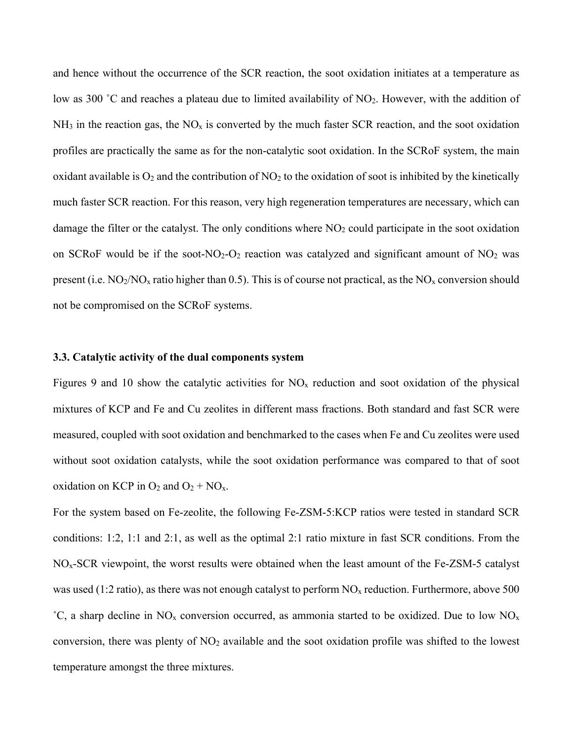and hence without the occurrence of the SCR reaction, the soot oxidation initiates at a temperature as low as 300 °C and reaches a plateau due to limited availability of NO<sub>2</sub>. However, with the addition of  $NH<sub>3</sub>$  in the reaction gas, the  $NO<sub>x</sub>$  is converted by the much faster SCR reaction, and the soot oxidation profiles are practically the same as for the non-catalytic soot oxidation. In the SCRoF system, the main oxidant available is  $O_2$  and the contribution of NO<sub>2</sub> to the oxidation of soot is inhibited by the kinetically much faster SCR reaction. For this reason, very high regeneration temperatures are necessary, which can damage the filter or the catalyst. The only conditions where  $NO<sub>2</sub>$  could participate in the soot oxidation on SCRoF would be if the soot-NO<sub>2</sub>-O<sub>2</sub> reaction was catalyzed and significant amount of NO<sub>2</sub> was present (i.e.  $NO_2/NO_x$  ratio higher than 0.5). This is of course not practical, as the  $NO_x$  conversion should not be compromised on the SCRoF systems.

#### **3.3. Catalytic activity of the dual components system**

Figures 9 and 10 show the catalytic activities for  $NO<sub>x</sub>$  reduction and soot oxidation of the physical mixtures of KCP and Fe and Cu zeolites in different mass fractions. Both standard and fast SCR were measured, coupled with soot oxidation and benchmarked to the cases when Fe and Cu zeolites were used without soot oxidation catalysts, while the soot oxidation performance was compared to that of soot oxidation on KCP in  $O_2$  and  $O_2$  + NO<sub>x</sub>.

For the system based on Fe-zeolite, the following Fe-ZSM-5:KCP ratios were tested in standard SCR conditions: 1:2, 1:1 and 2:1, as well as the optimal 2:1 ratio mixture in fast SCR conditions. From the NOx-SCR viewpoint, the worst results were obtained when the least amount of the Fe-ZSM-5 catalyst was used (1:2 ratio), as there was not enough catalyst to perform  $NO<sub>x</sub>$  reduction. Furthermore, above 500 °C, a sharp decline in NO<sub>x</sub> conversion occurred, as ammonia started to be oxidized. Due to low NO<sub>x</sub> conversion, there was plenty of  $NO<sub>2</sub>$  available and the soot oxidation profile was shifted to the lowest temperature amongst the three mixtures.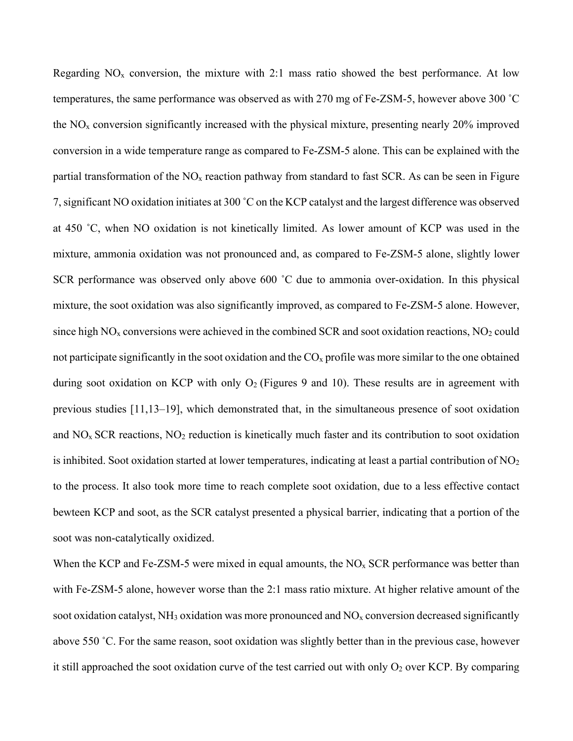Regarding  $NO<sub>x</sub>$  conversion, the mixture with 2:1 mass ratio showed the best performance. At low temperatures, the same performance was observed as with 270 mg of Fe-ZSM-5, however above 300 ˚C the  $NO<sub>x</sub>$  conversion significantly increased with the physical mixture, presenting nearly 20% improved conversion in a wide temperature range as compared to Fe-ZSM-5 alone. This can be explained with the partial transformation of the  $NO<sub>x</sub>$  reaction pathway from standard to fast SCR. As can be seen in Figure 7,significant NO oxidation initiates at 300 ˚C on the KCP catalyst and the largest difference was observed at 450 ˚C, when NO oxidation is not kinetically limited. As lower amount of KCP was used in the mixture, ammonia oxidation was not pronounced and, as compared to Fe-ZSM-5 alone, slightly lower SCR performance was observed only above 600 ˚C due to ammonia over-oxidation. In this physical mixture, the soot oxidation was also significantly improved, as compared to Fe-ZSM-5 alone. However, since high  $NO<sub>x</sub>$  conversions were achieved in the combined SCR and soot oxidation reactions,  $NO<sub>2</sub>$  could not participate significantly in the soot oxidation and the  $CO<sub>x</sub>$  profile was more similar to the one obtained during soot oxidation on KCP with only  $O_2$  (Figures 9 and 10). These results are in agreement with previous studies [11,13–19], which demonstrated that, in the simultaneous presence of soot oxidation and  $NO<sub>x</sub>$  SCR reactions,  $NO<sub>2</sub>$  reduction is kinetically much faster and its contribution to soot oxidation is inhibited. Soot oxidation started at lower temperatures, indicating at least a partial contribution of  $NO<sub>2</sub>$ to the process. It also took more time to reach complete soot oxidation, due to a less effective contact bewteen KCP and soot, as the SCR catalyst presented a physical barrier, indicating that a portion of the soot was non-catalytically oxidized.

When the KCP and Fe-ZSM-5 were mixed in equal amounts, the  $NO<sub>x</sub>$  SCR performance was better than with Fe-ZSM-5 alone, however worse than the 2:1 mass ratio mixture. At higher relative amount of the soot oxidation catalyst,  $NH_3$  oxidation was more pronounced and  $NO<sub>x</sub>$  conversion decreased significantly above 550 ˚C. For the same reason, soot oxidation was slightly better than in the previous case, however it still approached the soot oxidation curve of the test carried out with only  $O_2$  over KCP. By comparing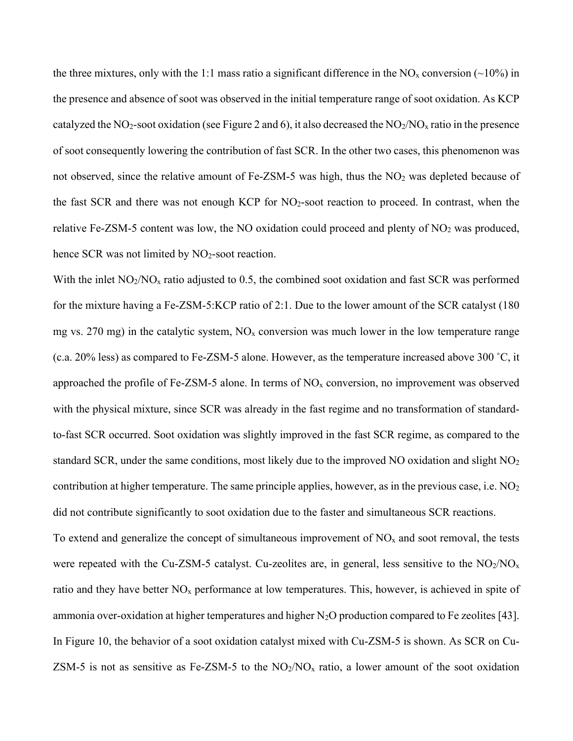the three mixtures, only with the 1:1 mass ratio a significant difference in the  $NO<sub>x</sub>$  conversion (~10%) in the presence and absence of soot was observed in the initial temperature range of soot oxidation. As KCP catalyzed the NO<sub>2</sub>-soot oxidation (see Figure 2 and 6), it also decreased the NO<sub>2</sub>/NO<sub>x</sub> ratio in the presence of soot consequently lowering the contribution of fast SCR. In the other two cases, this phenomenon was not observed, since the relative amount of Fe-ZSM-5 was high, thus the  $NO<sub>2</sub>$  was depleted because of the fast SCR and there was not enough KCP for NO2-soot reaction to proceed. In contrast, when the relative Fe-ZSM-5 content was low, the NO oxidation could proceed and plenty of  $NO<sub>2</sub>$  was produced, hence SCR was not limited by  $NO<sub>2</sub>$ -soot reaction.

With the inlet  $NO<sub>2</sub>/NO<sub>x</sub>$  ratio adjusted to 0.5, the combined soot oxidation and fast SCR was performed for the mixture having a Fe-ZSM-5:KCP ratio of 2:1. Due to the lower amount of the SCR catalyst (180 mg vs. 270 mg) in the catalytic system,  $NO<sub>x</sub>$  conversion was much lower in the low temperature range (c.a. 20% less) as compared to Fe-ZSM-5 alone. However, as the temperature increased above 300 ˚C, it approached the profile of Fe-ZSM-5 alone. In terms of  $NO<sub>x</sub>$  conversion, no improvement was observed with the physical mixture, since SCR was already in the fast regime and no transformation of standardto-fast SCR occurred. Soot oxidation was slightly improved in the fast SCR regime, as compared to the standard SCR, under the same conditions, most likely due to the improved NO oxidation and slight NO<sub>2</sub> contribution at higher temperature. The same principle applies, however, as in the previous case, i.e.  $NO<sub>2</sub>$ did not contribute significantly to soot oxidation due to the faster and simultaneous SCR reactions.

To extend and generalize the concept of simultaneous improvement of  $NO<sub>x</sub>$  and soot removal, the tests were repeated with the Cu-ZSM-5 catalyst. Cu-zeolites are, in general, less sensitive to the  $NO<sub>2</sub>/NO<sub>x</sub>$ ratio and they have better  $NO<sub>x</sub>$  performance at low temperatures. This, however, is achieved in spite of ammonia over-oxidation at higher temperatures and higher  $N_2O$  production compared to Fe zeolites [43]. In Figure 10, the behavior of a soot oxidation catalyst mixed with Cu-ZSM-5 is shown. As SCR on Cu-ZSM-5 is not as sensitive as Fe-ZSM-5 to the  $NO<sub>2</sub>/NO<sub>x</sub>$  ratio, a lower amount of the soot oxidation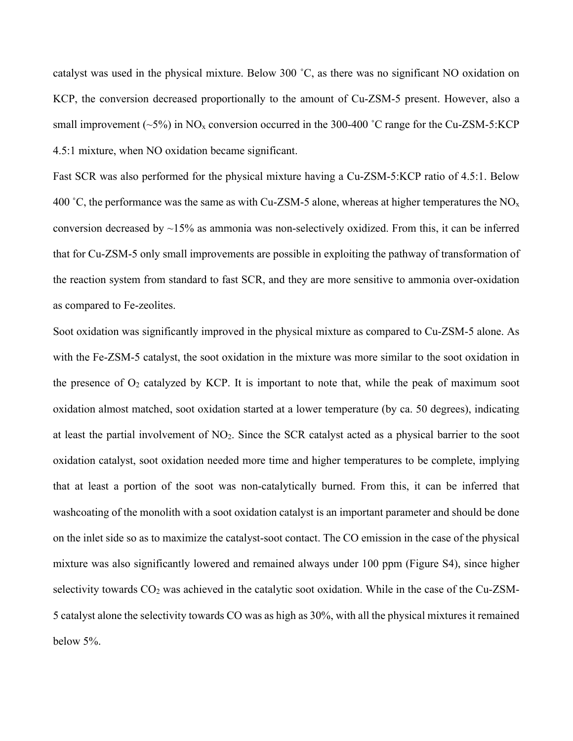catalyst was used in the physical mixture. Below 300 ˚C, as there was no significant NO oxidation on KCP, the conversion decreased proportionally to the amount of Cu-ZSM-5 present. However, also a small improvement ( $\sim$ 5%) in NO<sub>x</sub> conversion occurred in the 300-400 °C range for the Cu-ZSM-5:KCP 4.5:1 mixture, when NO oxidation became significant.

Fast SCR was also performed for the physical mixture having a Cu-ZSM-5:KCP ratio of 4.5:1. Below 400 °C, the performance was the same as with Cu-ZSM-5 alone, whereas at higher temperatures the  $NO<sub>x</sub>$ conversion decreased by  $\sim$ 15% as ammonia was non-selectively oxidized. From this, it can be inferred that for Cu-ZSM-5 only small improvements are possible in exploiting the pathway of transformation of the reaction system from standard to fast SCR, and they are more sensitive to ammonia over-oxidation as compared to Fe-zeolites.

Soot oxidation was significantly improved in the physical mixture as compared to Cu-ZSM-5 alone. As with the Fe-ZSM-5 catalyst, the soot oxidation in the mixture was more similar to the soot oxidation in the presence of  $O_2$  catalyzed by KCP. It is important to note that, while the peak of maximum soot oxidation almost matched, soot oxidation started at a lower temperature (by ca. 50 degrees), indicating at least the partial involvement of NO2. Since the SCR catalyst acted as a physical barrier to the soot oxidation catalyst, soot oxidation needed more time and higher temperatures to be complete, implying that at least a portion of the soot was non-catalytically burned. From this, it can be inferred that washcoating of the monolith with a soot oxidation catalyst is an important parameter and should be done on the inlet side so as to maximize the catalyst-soot contact. The CO emission in the case of the physical mixture was also significantly lowered and remained always under 100 ppm (Figure S4), since higher selectivity towards CO<sub>2</sub> was achieved in the catalytic soot oxidation. While in the case of the Cu-ZSM-5 catalyst alone the selectivity towards CO was as high as 30%, with all the physical mixtures it remained below 5%.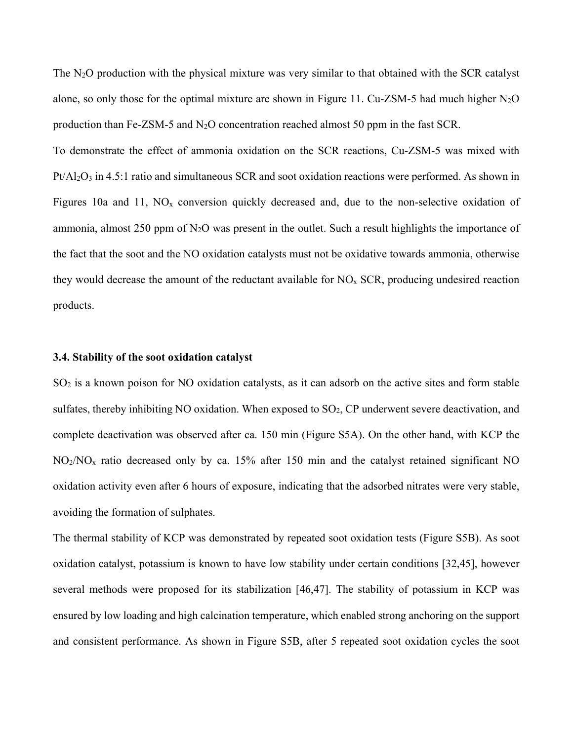The N<sub>2</sub>O production with the physical mixture was very similar to that obtained with the SCR catalyst alone, so only those for the optimal mixture are shown in Figure 11. Cu-ZSM-5 had much higher  $N_2O$ production than Fe-ZSM-5 and  $N_2O$  concentration reached almost 50 ppm in the fast SCR.

To demonstrate the effect of ammonia oxidation on the SCR reactions, Cu-ZSM-5 was mixed with  $Pt/Al<sub>2</sub>O<sub>3</sub>$  in 4.5:1 ratio and simultaneous SCR and soot oxidation reactions were performed. As shown in Figures 10a and 11,  $NO<sub>x</sub>$  conversion quickly decreased and, due to the non-selective oxidation of ammonia, almost 250 ppm of  $N_2O$  was present in the outlet. Such a result highlights the importance of the fact that the soot and the NO oxidation catalysts must not be oxidative towards ammonia, otherwise they would decrease the amount of the reductant available for  $NO<sub>x</sub>$  SCR, producing undesired reaction products.

#### **3.4. Stability of the soot oxidation catalyst**

SO2 is a known poison for NO oxidation catalysts, as it can adsorb on the active sites and form stable sulfates, thereby inhibiting NO oxidation. When exposed to SO<sub>2</sub>, CP underwent severe deactivation, and complete deactivation was observed after ca. 150 min (Figure S5A). On the other hand, with KCP the  $NO<sub>2</sub>/NO<sub>x</sub>$  ratio decreased only by ca. 15% after 150 min and the catalyst retained significant NO oxidation activity even after 6 hours of exposure, indicating that the adsorbed nitrates were very stable, avoiding the formation of sulphates.

The thermal stability of KCP was demonstrated by repeated soot oxidation tests (Figure S5B). As soot oxidation catalyst, potassium is known to have low stability under certain conditions [32,45], however several methods were proposed for its stabilization [46,47]. The stability of potassium in KCP was ensured by low loading and high calcination temperature, which enabled strong anchoring on the support and consistent performance. As shown in Figure S5B, after 5 repeated soot oxidation cycles the soot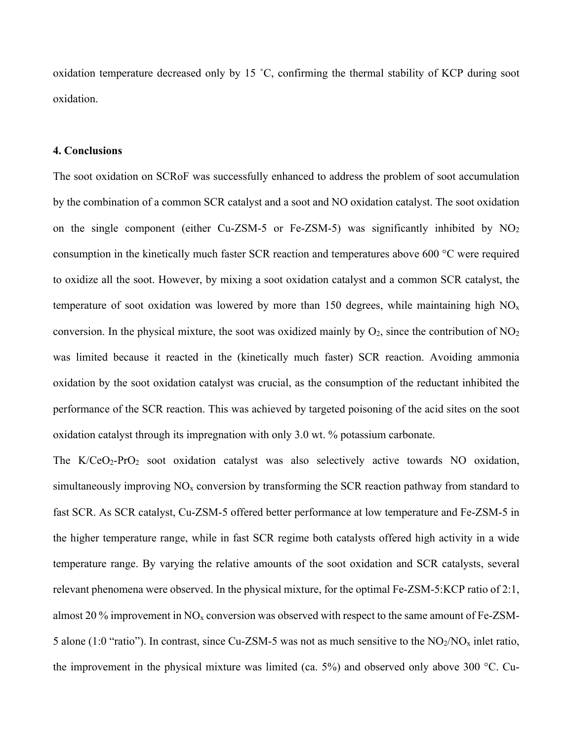oxidation temperature decreased only by 15 ˚C, confirming the thermal stability of KCP during soot oxidation.

#### **4. Conclusions**

The soot oxidation on SCRoF was successfully enhanced to address the problem of soot accumulation by the combination of a common SCR catalyst and a soot and NO oxidation catalyst. The soot oxidation on the single component (either Cu-ZSM-5 or Fe-ZSM-5) was significantly inhibited by  $NO<sub>2</sub>$ consumption in the kinetically much faster SCR reaction and temperatures above 600 °C were required to oxidize all the soot. However, by mixing a soot oxidation catalyst and a common SCR catalyst, the temperature of soot oxidation was lowered by more than 150 degrees, while maintaining high  $NO<sub>x</sub>$ conversion. In the physical mixture, the soot was oxidized mainly by  $O_2$ , since the contribution of  $NO_2$ was limited because it reacted in the (kinetically much faster) SCR reaction. Avoiding ammonia oxidation by the soot oxidation catalyst was crucial, as the consumption of the reductant inhibited the performance of the SCR reaction. This was achieved by targeted poisoning of the acid sites on the soot oxidation catalyst through its impregnation with only 3.0 wt. % potassium carbonate.

The  $K/CeO<sub>2</sub>-PrO<sub>2</sub>$  soot oxidation catalyst was also selectively active towards NO oxidation, simultaneously improving  $NO<sub>x</sub>$  conversion by transforming the SCR reaction pathway from standard to fast SCR. As SCR catalyst, Cu-ZSM-5 offered better performance at low temperature and Fe-ZSM-5 in the higher temperature range, while in fast SCR regime both catalysts offered high activity in a wide temperature range. By varying the relative amounts of the soot oxidation and SCR catalysts, several relevant phenomena were observed. In the physical mixture, for the optimal Fe-ZSM-5:KCP ratio of 2:1, almost 20  $\%$  improvement in NO<sub>x</sub> conversion was observed with respect to the same amount of Fe-ZSM-5 alone (1:0 "ratio"). In contrast, since Cu-ZSM-5 was not as much sensitive to the  $NO_2/NO_x$  inlet ratio, the improvement in the physical mixture was limited (ca. 5%) and observed only above 300 °C. Cu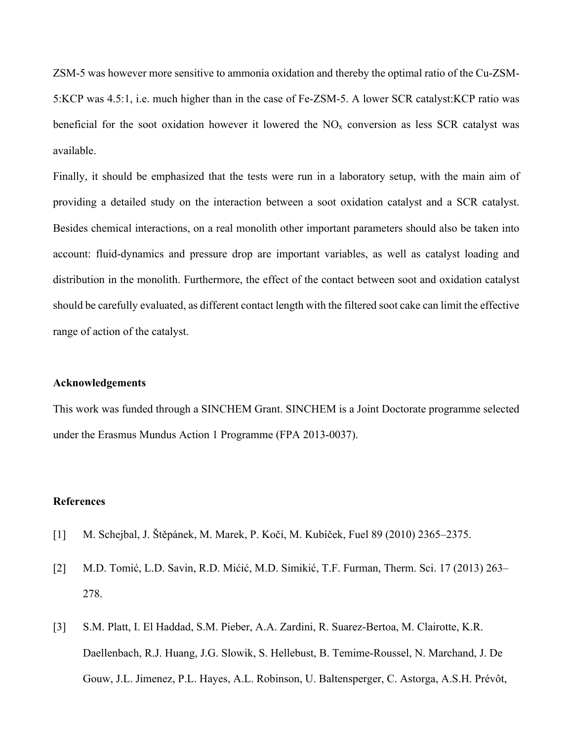ZSM-5 was however more sensitive to ammonia oxidation and thereby the optimal ratio of the Cu-ZSM-5:KCP was 4.5:1, i.e. much higher than in the case of Fe-ZSM-5. A lower SCR catalyst:KCP ratio was beneficial for the soot oxidation however it lowered the  $NO<sub>x</sub>$  conversion as less SCR catalyst was available.

Finally, it should be emphasized that the tests were run in a laboratory setup, with the main aim of providing a detailed study on the interaction between a soot oxidation catalyst and a SCR catalyst. Besides chemical interactions, on a real monolith other important parameters should also be taken into account: fluid-dynamics and pressure drop are important variables, as well as catalyst loading and distribution in the monolith. Furthermore, the effect of the contact between soot and oxidation catalyst should be carefully evaluated, as different contact length with the filtered soot cake can limit the effective range of action of the catalyst.

#### **Acknowledgements**

This work was funded through a SINCHEM Grant. SINCHEM is a Joint Doctorate programme selected under the Erasmus Mundus Action 1 Programme (FPA 2013-0037).

#### **References**

- [1] M. Schejbal, J. Štěpánek, M. Marek, P. Kočí, M. Kubíček, Fuel 89 (2010) 2365–2375.
- [2] M.D. Tomić, L.D. Savin, R.D. Mićić, M.D. Simikić, T.F. Furman, Therm. Sci. 17 (2013) 263– 278.
- [3] S.M. Platt, I. El Haddad, S.M. Pieber, A.A. Zardini, R. Suarez-Bertoa, M. Clairotte, K.R. Daellenbach, R.J. Huang, J.G. Slowik, S. Hellebust, B. Temime-Roussel, N. Marchand, J. De Gouw, J.L. Jimenez, P.L. Hayes, A.L. Robinson, U. Baltensperger, C. Astorga, A.S.H. Prévôt,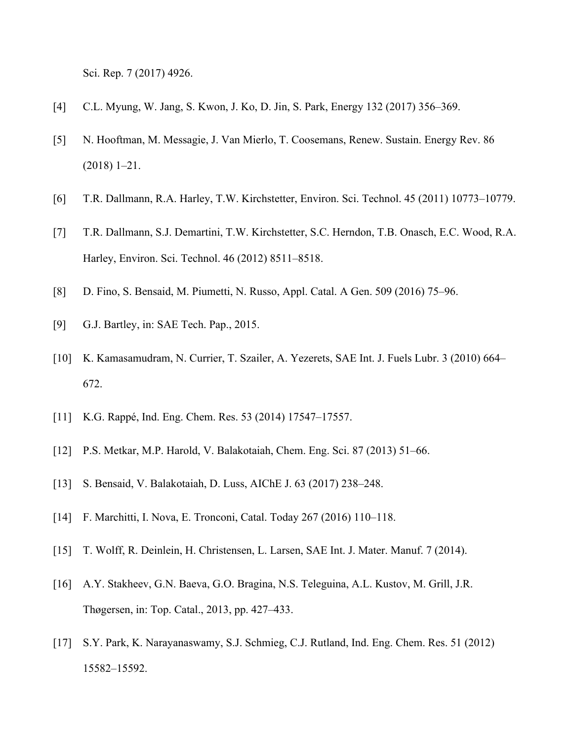Sci. Rep. 7 (2017) 4926.

- [4] C.L. Myung, W. Jang, S. Kwon, J. Ko, D. Jin, S. Park, Energy 132 (2017) 356–369.
- [5] N. Hooftman, M. Messagie, J. Van Mierlo, T. Coosemans, Renew. Sustain. Energy Rev. 86 (2018) 1–21.
- [6] T.R. Dallmann, R.A. Harley, T.W. Kirchstetter, Environ. Sci. Technol. 45 (2011) 10773–10779.
- [7] T.R. Dallmann, S.J. Demartini, T.W. Kirchstetter, S.C. Herndon, T.B. Onasch, E.C. Wood, R.A. Harley, Environ. Sci. Technol. 46 (2012) 8511–8518.
- [8] D. Fino, S. Bensaid, M. Piumetti, N. Russo, Appl. Catal. A Gen. 509 (2016) 75–96.
- [9] G.J. Bartley, in: SAE Tech. Pap., 2015.
- [10] K. Kamasamudram, N. Currier, T. Szailer, A. Yezerets, SAE Int. J. Fuels Lubr. 3 (2010) 664– 672.
- [11] K.G. Rappé, Ind. Eng. Chem. Res. 53 (2014) 17547–17557.
- [12] P.S. Metkar, M.P. Harold, V. Balakotaiah, Chem. Eng. Sci. 87 (2013) 51–66.
- [13] S. Bensaid, V. Balakotaiah, D. Luss, AIChE J. 63 (2017) 238–248.
- [14] F. Marchitti, I. Nova, E. Tronconi, Catal. Today 267 (2016) 110–118.
- [15] T. Wolff, R. Deinlein, H. Christensen, L. Larsen, SAE Int. J. Mater. Manuf. 7 (2014).
- [16] A.Y. Stakheev, G.N. Baeva, G.O. Bragina, N.S. Teleguina, A.L. Kustov, M. Grill, J.R. Thøgersen, in: Top. Catal., 2013, pp. 427–433.
- [17] S.Y. Park, K. Narayanaswamy, S.J. Schmieg, C.J. Rutland, Ind. Eng. Chem. Res. 51 (2012) 15582–15592.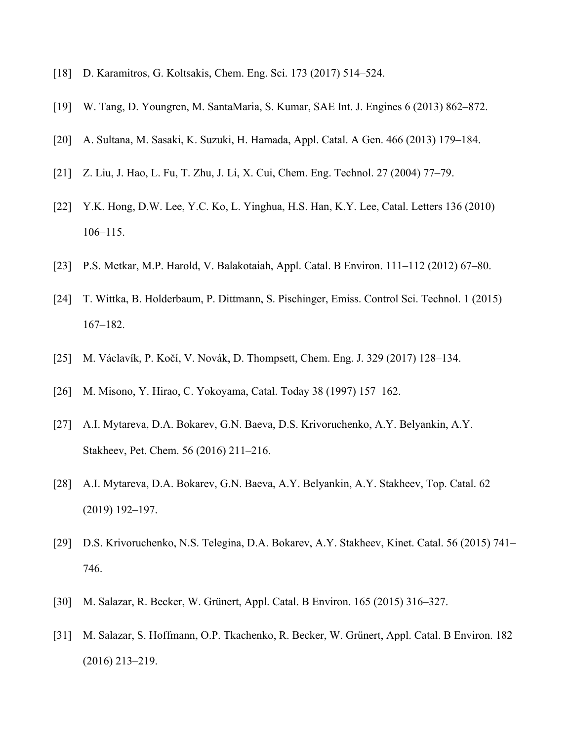- [18] D. Karamitros, G. Koltsakis, Chem. Eng. Sci. 173 (2017) 514–524.
- [19] W. Tang, D. Youngren, M. SantaMaria, S. Kumar, SAE Int. J. Engines 6 (2013) 862–872.
- [20] A. Sultana, M. Sasaki, K. Suzuki, H. Hamada, Appl. Catal. A Gen. 466 (2013) 179–184.
- [21] Z. Liu, J. Hao, L. Fu, T. Zhu, J. Li, X. Cui, Chem. Eng. Technol. 27 (2004) 77–79.
- [22] Y.K. Hong, D.W. Lee, Y.C. Ko, L. Yinghua, H.S. Han, K.Y. Lee, Catal. Letters 136 (2010) 106–115.
- [23] P.S. Metkar, M.P. Harold, V. Balakotaiah, Appl. Catal. B Environ. 111–112 (2012) 67–80.
- [24] T. Wittka, B. Holderbaum, P. Dittmann, S. Pischinger, Emiss. Control Sci. Technol. 1 (2015) 167–182.
- [25] M. Václavík, P. Kočí, V. Novák, D. Thompsett, Chem. Eng. J. 329 (2017) 128–134.
- [26] M. Misono, Y. Hirao, C. Yokoyama, Catal. Today 38 (1997) 157–162.
- [27] A.I. Mytareva, D.A. Bokarev, G.N. Baeva, D.S. Krivoruchenko, A.Y. Belyankin, A.Y. Stakheev, Pet. Chem. 56 (2016) 211–216.
- [28] A.I. Mytareva, D.A. Bokarev, G.N. Baeva, A.Y. Belyankin, A.Y. Stakheev, Top. Catal. 62 (2019) 192–197.
- [29] D.S. Krivoruchenko, N.S. Telegina, D.A. Bokarev, A.Y. Stakheev, Kinet. Catal. 56 (2015) 741– 746.
- [30] M. Salazar, R. Becker, W. Grünert, Appl. Catal. B Environ. 165 (2015) 316–327.
- [31] M. Salazar, S. Hoffmann, O.P. Tkachenko, R. Becker, W. Grünert, Appl. Catal. B Environ. 182 (2016) 213–219.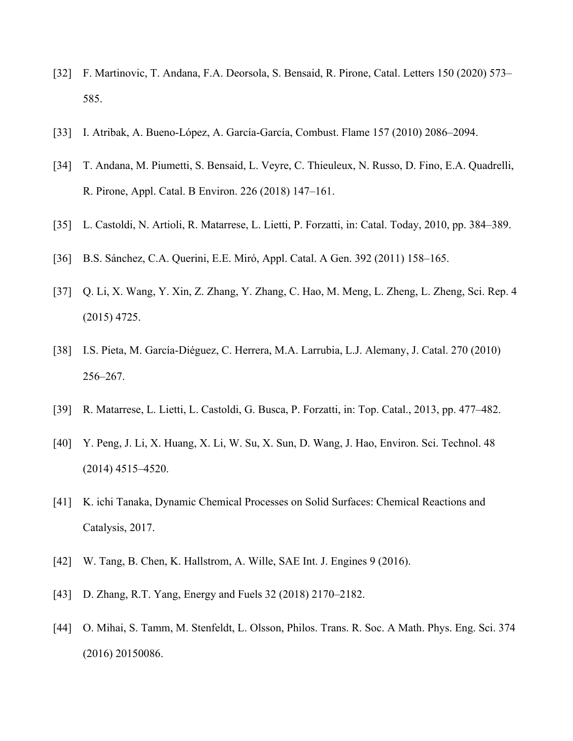- [32] F. Martinovic, T. Andana, F.A. Deorsola, S. Bensaid, R. Pirone, Catal. Letters 150 (2020) 573– 585.
- [33] I. Atribak, A. Bueno-López, A. García-García, Combust. Flame 157 (2010) 2086–2094.
- [34] T. Andana, M. Piumetti, S. Bensaid, L. Veyre, C. Thieuleux, N. Russo, D. Fino, E.A. Quadrelli, R. Pirone, Appl. Catal. B Environ. 226 (2018) 147–161.
- [35] L. Castoldi, N. Artioli, R. Matarrese, L. Lietti, P. Forzatti, in: Catal. Today, 2010, pp. 384–389.
- [36] B.S. Sánchez, C.A. Querini, E.E. Miró, Appl. Catal. A Gen. 392 (2011) 158–165.
- [37] Q. Li, X. Wang, Y. Xin, Z. Zhang, Y. Zhang, C. Hao, M. Meng, L. Zheng, L. Zheng, Sci. Rep. 4 (2015) 4725.
- [38] I.S. Pieta, M. García-Diéguez, C. Herrera, M.A. Larrubia, L.J. Alemany, J. Catal. 270 (2010) 256–267.
- [39] R. Matarrese, L. Lietti, L. Castoldi, G. Busca, P. Forzatti, in: Top. Catal., 2013, pp. 477–482.
- [40] Y. Peng, J. Li, X. Huang, X. Li, W. Su, X. Sun, D. Wang, J. Hao, Environ. Sci. Technol. 48 (2014) 4515–4520.
- [41] K. ichi Tanaka, Dynamic Chemical Processes on Solid Surfaces: Chemical Reactions and Catalysis, 2017.
- [42] W. Tang, B. Chen, K. Hallstrom, A. Wille, SAE Int. J. Engines 9 (2016).
- [43] D. Zhang, R.T. Yang, Energy and Fuels 32 (2018) 2170–2182.
- [44] O. Mihai, S. Tamm, M. Stenfeldt, L. Olsson, Philos. Trans. R. Soc. A Math. Phys. Eng. Sci. 374 (2016) 20150086.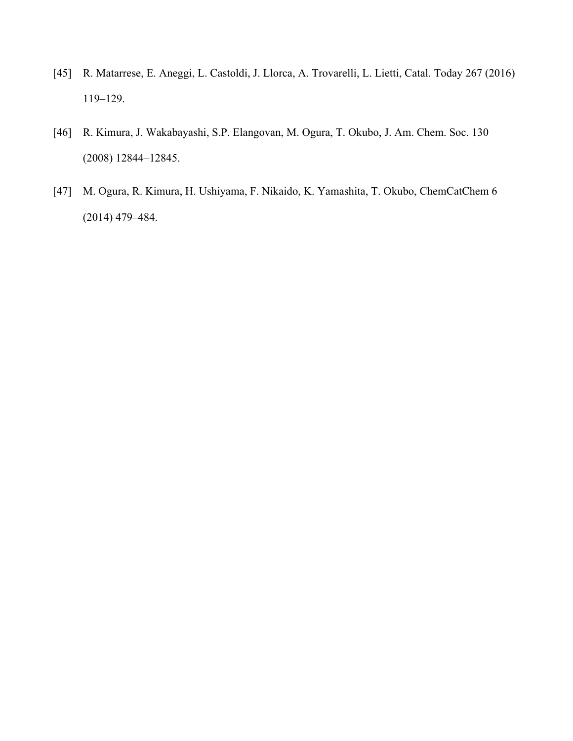- [45] R. Matarrese, E. Aneggi, L. Castoldi, J. Llorca, A. Trovarelli, L. Lietti, Catal. Today 267 (2016) 119–129.
- [46] R. Kimura, J. Wakabayashi, S.P. Elangovan, M. Ogura, T. Okubo, J. Am. Chem. Soc. 130 (2008) 12844–12845.
- [47] M. Ogura, R. Kimura, H. Ushiyama, F. Nikaido, K. Yamashita, T. Okubo, ChemCatChem 6 (2014) 479–484.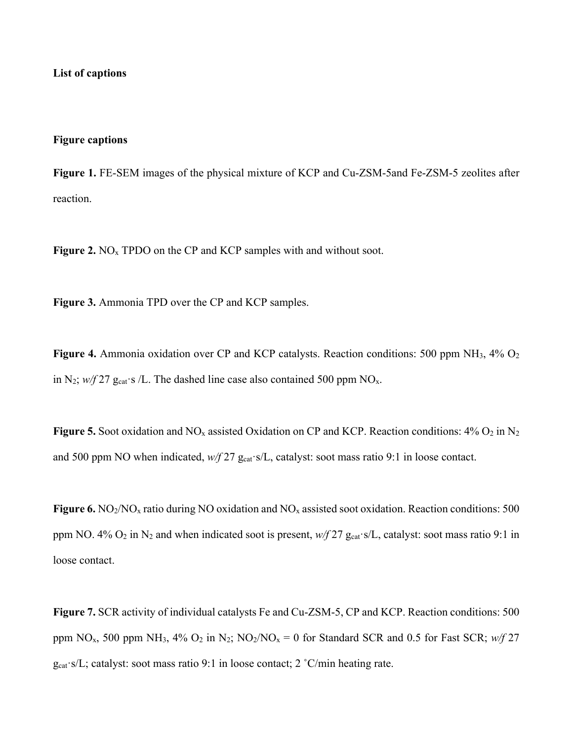#### **List of captions**

#### **Figure captions**

**Figure 1.** FE-SEM images of the physical mixture of KCP and Cu-ZSM-5and Fe-ZSM-5 zeolites after reaction.

**Figure 2.** NO<sub>x</sub> TPDO on the CP and KCP samples with and without soot.

**Figure 3.** Ammonia TPD over the CP and KCP samples.

**Figure 4.** Ammonia oxidation over CP and KCP catalysts. Reaction conditions: 500 ppm NH<sub>3</sub>, 4% O<sub>2</sub> in N<sub>2</sub>;  $w/f$  27 g<sub>cat</sub> s /L. The dashed line case also contained 500 ppm NO<sub>x</sub>.

**Figure 5.** Soot oxidation and  $NO_x$  assisted Oxidation on CP and KCP. Reaction conditions:  $4\%$   $O_2$  in  $N_2$ and 500 ppm NO when indicated,  $w/f$  27 g<sub>cat</sub> s/L, catalyst: soot mass ratio 9:1 in loose contact.

**Figure 6.** NO<sub>2</sub>/NO<sub>x</sub> ratio during NO oxidation and NO<sub>x</sub> assisted soot oxidation. Reaction conditions: 500 ppm NO. 4%  $O_2$  in N<sub>2</sub> and when indicated soot is present,  $w/f$  27  $g_{cat}$  s/L, catalyst: soot mass ratio 9:1 in loose contact.

**Figure 7.** SCR activity of individual catalysts Fe and Cu-ZSM-5, CP and KCP. Reaction conditions: 500 ppm NO<sub>x</sub>, 500 ppm NH<sub>3</sub>, 4% O<sub>2</sub> in N<sub>2</sub>; NO<sub>2</sub>/NO<sub>x</sub> = 0 for Standard SCR and 0.5 for Fast SCR;  $w/f$  27  $g_{cat}$ ·s/L; catalyst: soot mass ratio 9:1 in loose contact; 2 °C/min heating rate.